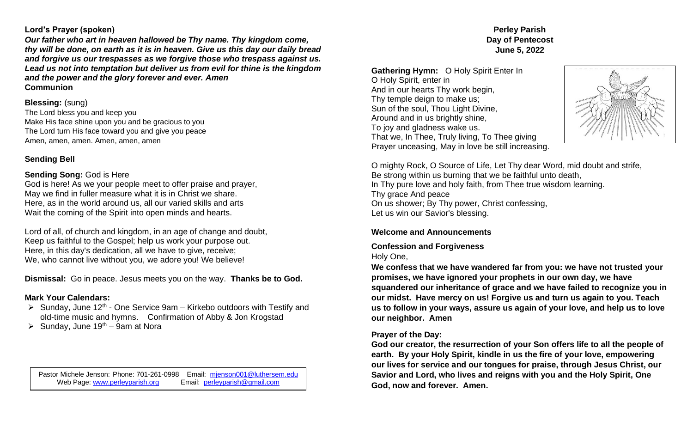#### **Lord's Prayer (spoken)**

*Our father who art in heaven hallowed be Thy name. Thy kingdom come, thy will be done, on earth as it is in heaven. Give us this day our daily bread and forgive us our trespasses as we forgive those who trespass against us. Lead us not into temptation but deliver us from evil for thine is the kingdom and the power and the glory forever and ever. Amen* **Communion**

## **Blessing:** (sung)

The Lord bless you and keep you Make His face shine upon you and be gracious to you The Lord turn His face toward you and give you peace Amen, amen, amen. Amen, amen, amen

# **Sending Bell**

### **Sending Song:** God is Here

God is here! As we your people meet to offer praise and prayer, May we find in fuller measure what it is in Christ we share. Here, as in the world around us, all our varied skills and arts Wait the coming of the Spirit into open minds and hearts.

Lord of all, of church and kingdom, in an age of change and doubt, Keep us faithful to the Gospel; help us work your purpose out. Here, in this day's dedication, all we have to give, receive; We, who cannot live without you, we adore you! We believe!

**Dismissal:** Go in peace. Jesus meets you on the way. **Thanks be to God.** 

## **Mark Your Calendars:**

- $\triangleright$  Sunday, June 12<sup>th</sup> One Service 9am Kirkebo outdoors with Testify and old-time music and hymns. Confirmation of Abby & Jon Krogstad
- $\triangleright$  Sunday, June 19<sup>th</sup> 9am at Nora

Pastor Michele Jenson: Phone: 701-261-0998 Email: mienson001@luthersem.edu<br>Web Page: www.perleyparish.org Email: perleyparish@gmail.com Web Page: [www.perleyparish.org](http://www.perleyparish.org/)

**Perley Parish Day of Pentecost June 5, 2022**

**Gathering Hymn:** O Holy Spirit Enter In O Holy Spirit, enter in And in our hearts Thy work begin, Thy temple deign to make us; Sun of the soul, Thou Light Divine, Around and in us brightly shine, To joy and gladness wake us. That we, In Thee, Truly living, To Thee giving Prayer unceasing, May in love be still increasing.



O mighty Rock, O Source of Life, Let Thy dear Word, mid doubt and strife, Be strong within us burning that we be faithful unto death, In Thy pure love and holy faith, from Thee true wisdom learning. Thy grace And peace On us shower; By Thy power, Christ confessing, Let us win our Savior's blessing.

## **Welcome and Announcements**

## **Confession and Forgiveness**

### Holy One,

**We confess that we have wandered far from you: we have not trusted your promises, we have ignored your prophets in our own day, we have squandered our inheritance of grace and we have failed to recognize you in our midst. Have mercy on us! Forgive us and turn us again to you. Teach us to follow in your ways, assure us again of your love, and help us to love our neighbor. Amen**

## **Prayer of the Day:**

**God our creator, the resurrection of your Son offers life to all the people of earth. By your Holy Spirit, kindle in us the fire of your love, empowering our lives for service and our tongues for praise, through Jesus Christ, our Savior and Lord, who lives and reigns with you and the Holy Spirit, One God, now and forever. Amen.**